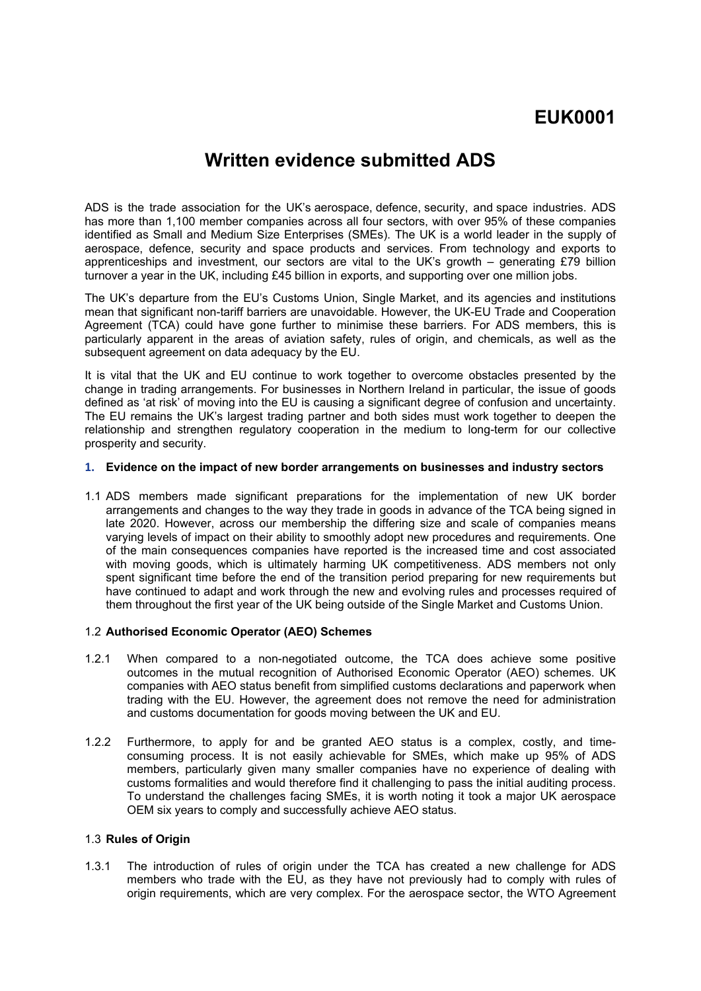# **EUK0001**

## **Written evidence submitted ADS**

ADS is the trade association for the UK's aerospace, defence, security, and space industries. ADS has more than 1,100 member companies across all four sectors, with over 95% of these companies identified as Small and Medium Size Enterprises (SMEs). The UK is a world leader in the supply of aerospace, defence, security and space products and services. From technology and exports to apprenticeships and investment, our sectors are vital to the UK's growth – generating £79 billion turnover a year in the UK, including £45 billion in exports, and supporting over one million jobs.

The UK's departure from the EU's Customs Union, Single Market, and its agencies and institutions mean that significant non-tariff barriers are unavoidable. However, the UK-EU Trade and Cooperation Agreement (TCA) could have gone further to minimise these barriers. For ADS members, this is particularly apparent in the areas of aviation safety, rules of origin, and chemicals, as well as the subsequent agreement on data adequacy by the EU.

It is vital that the UK and EU continue to work together to overcome obstacles presented by the change in trading arrangements. For businesses in Northern Ireland in particular, the issue of goods defined as 'at risk' of moving into the EU is causing a significant degree of confusion and uncertainty. The EU remains the UK's largest trading partner and both sides must work together to deepen the relationship and strengthen regulatory cooperation in the medium to long-term for our collective prosperity and security.

#### **1. Evidence on the impact of new border arrangements on businesses and industry sectors**

1.1 ADS members made significant preparations for the implementation of new UK border arrangements and changes to the way they trade in goods in advance of the TCA being signed in late 2020. However, across our membership the differing size and scale of companies means varying levels of impact on their ability to smoothly adopt new procedures and requirements. One of the main consequences companies have reported is the increased time and cost associated with moving goods, which is ultimately harming UK competitiveness. ADS members not only spent significant time before the end of the transition period preparing for new requirements but have continued to adapt and work through the new and evolving rules and processes required of them throughout the first year of the UK being outside of the Single Market and Customs Union.

#### 1.2 **Authorised Economic Operator (AEO) Schemes**

- 1.2.1 When compared to a non-negotiated outcome, the TCA does achieve some positive outcomes in the mutual recognition of Authorised Economic Operator (AEO) schemes. UK companies with AEO status benefit from simplified customs declarations and paperwork when trading with the EU. However, the agreement does not remove the need for administration and customs documentation for goods moving between the UK and EU.
- 1.2.2 Furthermore, to apply for and be granted AEO status is a complex, costly, and timeconsuming process. It is not easily achievable for SMEs, which make up 95% of ADS members, particularly given many smaller companies have no experience of dealing with customs formalities and would therefore find it challenging to pass the initial auditing process. To understand the challenges facing SMEs, it is worth noting it took a major UK aerospace OEM six years to comply and successfully achieve AEO status.

#### 1.3 **Rules of Origin**

1.3.1 The introduction of rules of origin under the TCA has created a new challenge for ADS members who trade with the EU, as they have not previously had to comply with rules of origin requirements, which are very complex. For the aerospace sector, the WTO Agreement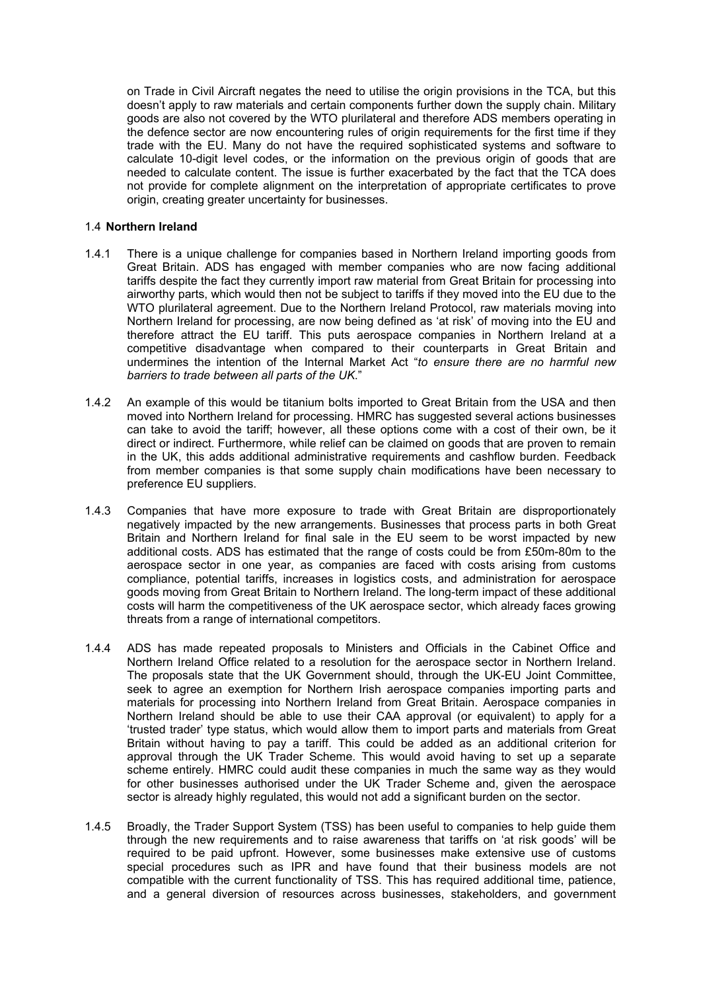on Trade in Civil Aircraft negates the need to utilise the origin provisions in the TCA, but this doesn't apply to raw materials and certain components further down the supply chain. Military goods are also not covered by the WTO plurilateral and therefore ADS members operating in the defence sector are now encountering rules of origin requirements for the first time if they trade with the EU. Many do not have the required sophisticated systems and software to calculate 10-digit level codes, or the information on the previous origin of goods that are needed to calculate content. The issue is further exacerbated by the fact that the TCA does not provide for complete alignment on the interpretation of appropriate certificates to prove origin, creating greater uncertainty for businesses.

#### 1.4 **Northern Ireland**

- 1.4.1 There is a unique challenge for companies based in Northern Ireland importing goods from Great Britain. ADS has engaged with member companies who are now facing additional tariffs despite the fact they currently import raw material from Great Britain for processing into airworthy parts, which would then not be subject to tariffs if they moved into the EU due to the WTO plurilateral agreement. Due to the Northern Ireland Protocol, raw materials moving into Northern Ireland for processing, are now being defined as 'at risk' of moving into the EU and therefore attract the EU tariff. This puts aerospace companies in Northern Ireland at a competitive disadvantage when compared to their counterparts in Great Britain and undermines the intention of the Internal Market Act "*to ensure there are no harmful new barriers to trade between all parts of the UK*."
- 1.4.2 An example of this would be titanium bolts imported to Great Britain from the USA and then moved into Northern Ireland for processing. HMRC has suggested several actions businesses can take to avoid the tariff; however, all these options come with a cost of their own, be it direct or indirect. Furthermore, while relief can be claimed on goods that are proven to remain in the UK, this adds additional administrative requirements and cashflow burden. Feedback from member companies is that some supply chain modifications have been necessary to preference EU suppliers.
- 1.4.3 Companies that have more exposure to trade with Great Britain are disproportionately negatively impacted by the new arrangements. Businesses that process parts in both Great Britain and Northern Ireland for final sale in the EU seem to be worst impacted by new additional costs. ADS has estimated that the range of costs could be from £50m-80m to the aerospace sector in one year, as companies are faced with costs arising from customs compliance, potential tariffs, increases in logistics costs, and administration for aerospace goods moving from Great Britain to Northern Ireland. The long-term impact of these additional costs will harm the competitiveness of the UK aerospace sector, which already faces growing threats from a range of international competitors.
- 1.4.4 ADS has made repeated proposals to Ministers and Officials in the Cabinet Office and Northern Ireland Office related to a resolution for the aerospace sector in Northern Ireland. The proposals state that the UK Government should, through the UK-EU Joint Committee, seek to agree an exemption for Northern Irish aerospace companies importing parts and materials for processing into Northern Ireland from Great Britain. Aerospace companies in Northern Ireland should be able to use their CAA approval (or equivalent) to apply for a 'trusted trader' type status, which would allow them to import parts and materials from Great Britain without having to pay a tariff. This could be added as an additional criterion for approval through the UK Trader Scheme. This would avoid having to set up a separate scheme entirely. HMRC could audit these companies in much the same way as they would for other businesses authorised under the UK Trader Scheme and, given the aerospace sector is already highly regulated, this would not add a significant burden on the sector.
- 1.4.5 Broadly, the Trader Support System (TSS) has been useful to companies to help guide them through the new requirements and to raise awareness that tariffs on 'at risk goods' will be required to be paid upfront. However, some businesses make extensive use of customs special procedures such as IPR and have found that their business models are not compatible with the current functionality of TSS. This has required additional time, patience, and a general diversion of resources across businesses, stakeholders, and government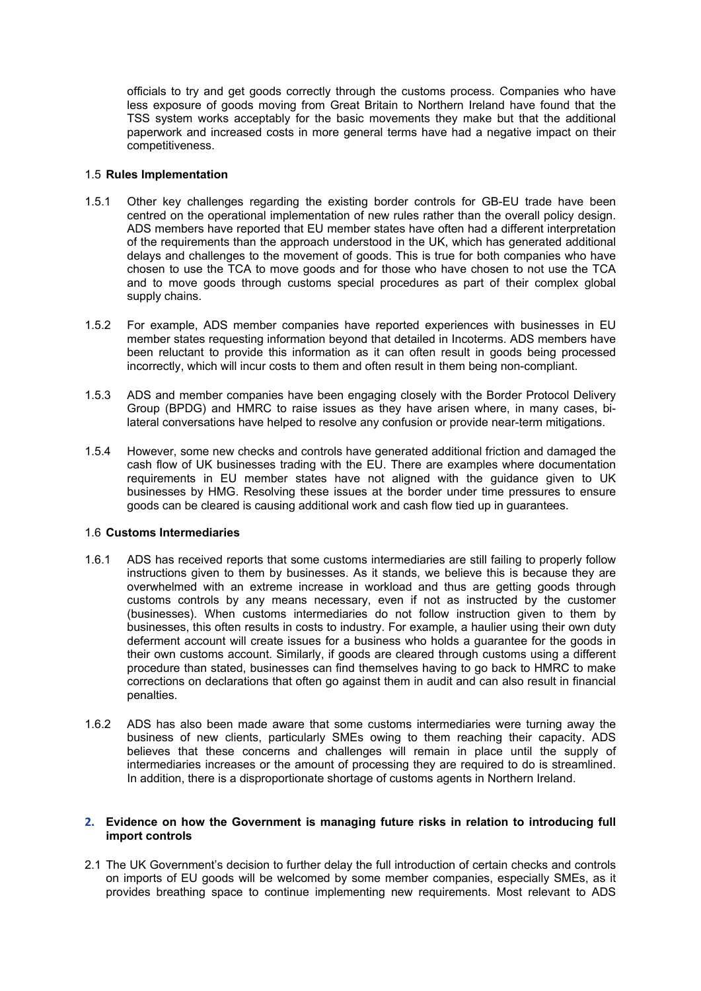officials to try and get goods correctly through the customs process. Companies who have less exposure of goods moving from Great Britain to Northern Ireland have found that the TSS system works acceptably for the basic movements they make but that the additional paperwork and increased costs in more general terms have had a negative impact on their competitiveness.

#### 1.5 **Rules Implementation**

- 1.5.1 Other key challenges regarding the existing border controls for GB-EU trade have been centred on the operational implementation of new rules rather than the overall policy design. ADS members have reported that EU member states have often had a different interpretation of the requirements than the approach understood in the UK, which has generated additional delays and challenges to the movement of goods. This is true for both companies who have chosen to use the TCA to move goods and for those who have chosen to not use the TCA and to move goods through customs special procedures as part of their complex global supply chains.
- 1.5.2 For example, ADS member companies have reported experiences with businesses in EU member states requesting information beyond that detailed in Incoterms. ADS members have been reluctant to provide this information as it can often result in goods being processed incorrectly, which will incur costs to them and often result in them being non-compliant.
- 1.5.3 ADS and member companies have been engaging closely with the Border Protocol Delivery Group (BPDG) and HMRC to raise issues as they have arisen where, in many cases, bilateral conversations have helped to resolve any confusion or provide near-term mitigations.
- 1.5.4 However, some new checks and controls have generated additional friction and damaged the cash flow of UK businesses trading with the EU. There are examples where documentation requirements in EU member states have not aligned with the guidance given to UK businesses by HMG. Resolving these issues at the border under time pressures to ensure goods can be cleared is causing additional work and cash flow tied up in guarantees.

### 1.6 **Customs Intermediaries**

- 1.6.1 ADS has received reports that some customs intermediaries are still failing to properly follow instructions given to them by businesses. As it stands, we believe this is because they are overwhelmed with an extreme increase in workload and thus are getting goods through customs controls by any means necessary, even if not as instructed by the customer (businesses). When customs intermediaries do not follow instruction given to them by businesses, this often results in costs to industry. For example, a haulier using their own duty deferment account will create issues for a business who holds a guarantee for the goods in their own customs account. Similarly, if goods are cleared through customs using a different procedure than stated, businesses can find themselves having to go back to HMRC to make corrections on declarations that often go against them in audit and can also result in financial penalties.
- 1.6.2 ADS has also been made aware that some customs intermediaries were turning away the business of new clients, particularly SMEs owing to them reaching their capacity. ADS believes that these concerns and challenges will remain in place until the supply of intermediaries increases or the amount of processing they are required to do is streamlined. In addition, there is a disproportionate shortage of customs agents in Northern Ireland.

#### **2. Evidence on how the Government is managing future risks in relation to introducing full import controls**

2.1 The UK Government's decision to further delay the full introduction of certain checks and controls on imports of EU goods will be welcomed by some member companies, especially SMEs, as it provides breathing space to continue implementing new requirements. Most relevant to ADS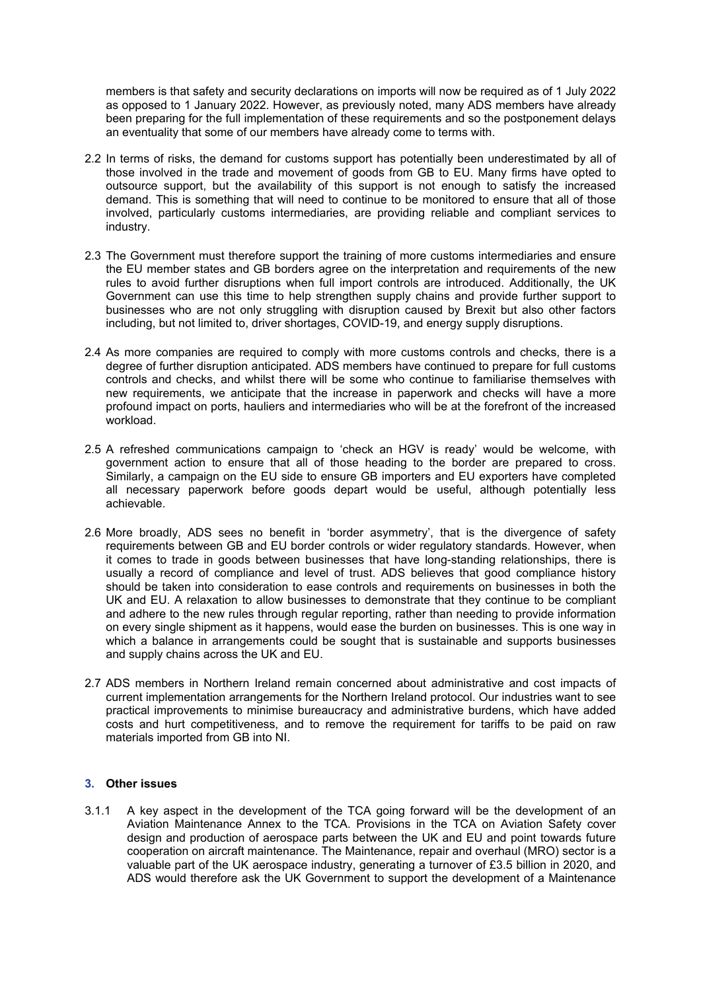members is that safety and security declarations on imports will now be required as of 1 July 2022 as opposed to 1 January 2022. However, as previously noted, many ADS members have already been preparing for the full implementation of these requirements and so the postponement delays an eventuality that some of our members have already come to terms with.

- 2.2 In terms of risks, the demand for customs support has potentially been underestimated by all of those involved in the trade and movement of goods from GB to EU. Many firms have opted to outsource support, but the availability of this support is not enough to satisfy the increased demand. This is something that will need to continue to be monitored to ensure that all of those involved, particularly customs intermediaries, are providing reliable and compliant services to industry.
- 2.3 The Government must therefore support the training of more customs intermediaries and ensure the EU member states and GB borders agree on the interpretation and requirements of the new rules to avoid further disruptions when full import controls are introduced. Additionally, the UK Government can use this time to help strengthen supply chains and provide further support to businesses who are not only struggling with disruption caused by Brexit but also other factors including, but not limited to, driver shortages, COVID-19, and energy supply disruptions.
- 2.4 As more companies are required to comply with more customs controls and checks, there is a degree of further disruption anticipated. ADS members have continued to prepare for full customs controls and checks, and whilst there will be some who continue to familiarise themselves with new requirements, we anticipate that the increase in paperwork and checks will have a more profound impact on ports, hauliers and intermediaries who will be at the forefront of the increased workload.
- 2.5 A refreshed communications campaign to 'check an HGV is ready' would be welcome, with government action to ensure that all of those heading to the border are prepared to cross. Similarly, a campaign on the EU side to ensure GB importers and EU exporters have completed all necessary paperwork before goods depart would be useful, although potentially less achievable.
- 2.6 More broadly, ADS sees no benefit in 'border asymmetry', that is the divergence of safety requirements between GB and EU border controls or wider regulatory standards. However, when it comes to trade in goods between businesses that have long-standing relationships, there is usually a record of compliance and level of trust. ADS believes that good compliance history should be taken into consideration to ease controls and requirements on businesses in both the UK and EU. A relaxation to allow businesses to demonstrate that they continue to be compliant and adhere to the new rules through regular reporting, rather than needing to provide information on every single shipment as it happens, would ease the burden on businesses. This is one way in which a balance in arrangements could be sought that is sustainable and supports businesses and supply chains across the UK and EU.
- 2.7 ADS members in Northern Ireland remain concerned about administrative and cost impacts of current implementation arrangements for the Northern Ireland protocol. Our industries want to see practical improvements to minimise bureaucracy and administrative burdens, which have added costs and hurt competitiveness, and to remove the requirement for tariffs to be paid on raw materials imported from GB into NI.

### **3. Other issues**

3.1.1 A key aspect in the development of the TCA going forward will be the development of an Aviation Maintenance Annex to the TCA. Provisions in the TCA on Aviation Safety cover design and production of aerospace parts between the UK and EU and point towards future cooperation on aircraft maintenance. The Maintenance, repair and overhaul (MRO) sector is a valuable part of the UK aerospace industry, generating a turnover of £3.5 billion in 2020, and ADS would therefore ask the UK Government to support the development of a Maintenance